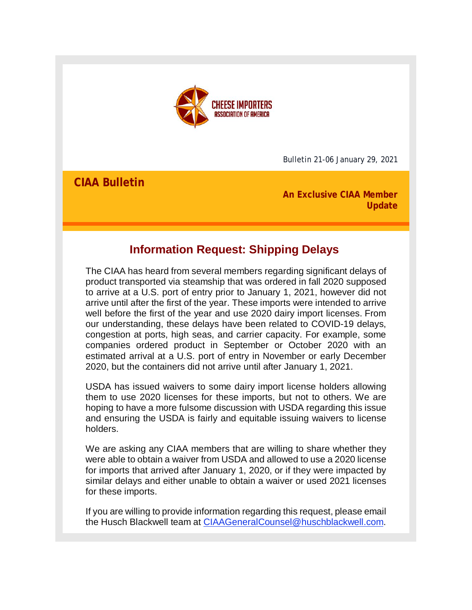

Bulletin 21-06 January 29, 2021

**CIAA Bulletin**

**An Exclusive CIAA Member Update**

# **Information Request: Shipping Delays**

The CIAA has heard from several members regarding significant delays of product transported via steamship that was ordered in fall 2020 supposed to arrive at a U.S. port of entry prior to January 1, 2021, however did not arrive until after the first of the year. These imports were intended to arrive well before the first of the year and use 2020 dairy import licenses. From our understanding, these delays have been related to COVID-19 delays, congestion at ports, high seas, and carrier capacity. For example, some companies ordered product in September or October 2020 with an estimated arrival at a U.S. port of entry in November or early December 2020, but the containers did not arrive until after January 1, 2021.

USDA has issued waivers to some dairy import license holders allowing them to use 2020 licenses for these imports, but not to others. We are hoping to have a more fulsome discussion with USDA regarding this issue and ensuring the USDA is fairly and equitable issuing waivers to license holders.

We are asking any CIAA members that are willing to share whether they were able to obtain a waiver from USDA and allowed to use a 2020 license for imports that arrived after January 1, 2020, or if they were impacted by similar delays and either unable to obtain a waiver or used 2021 licenses for these imports.

If you are willing to provide information regarding this request, please email the Husch Blackwell team at [CIAAGeneralCounsel@huschblackwell.com.](mailto:CIAAGeneralCounsel@huschblackwell.com)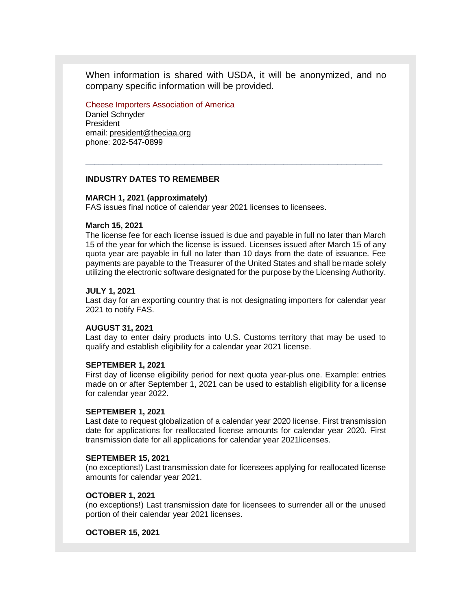When information is shared with USDA, it will be anonymized, and no company specific information will be provided.

\_\_\_\_\_\_\_\_\_\_\_\_\_\_\_\_\_\_\_\_\_\_\_\_\_\_\_\_\_\_\_\_\_\_\_\_\_\_\_\_\_\_\_\_\_\_\_\_\_\_\_\_\_\_\_\_\_\_\_\_\_\_\_\_\_\_

Cheese Importers Association of America

Daniel Schnyder President email: president@theciaa.org phone: 202-547-0899

#### **INDUSTRY DATES TO REMEMBER**

# **MARCH 1, 2021 (approximately)**

FAS issues final notice of calendar year 2021 licenses to licensees.

# **March 15, 2021**

The license fee for each license issued is due and payable in full no later than March 15 of the year for which the license is issued. Licenses issued after March 15 of any quota year are payable in full no later than 10 days from the date of issuance. Fee payments are payable to the Treasurer of the United States and shall be made solely utilizing the electronic software designated for the purpose by the Licensing Authority.

# **JULY 1, 2021**

Last day for an exporting country that is not designating importers for calendar year 2021 to notify FAS.

# **AUGUST 31, 2021**

Last day to enter dairy products into U.S. Customs territory that may be used to qualify and establish eligibility for a calendar year 2021 license.

#### **SEPTEMBER 1, 2021**

First day of license eligibility period for next quota year-plus one. Example: entries made on or after September 1, 2021 can be used to establish eligibility for a license for calendar year 2022.

#### **SEPTEMBER 1, 2021**

Last date to request globalization of a calendar year 2020 license. First transmission date for applications for reallocated license amounts for calendar year 2020. First transmission date for all applications for calendar year 2021licenses.

#### **SEPTEMBER 15, 2021**

(no exceptions!) Last transmission date for licensees applying for reallocated license amounts for calendar year 2021.

# **OCTOBER 1, 2021**

(no exceptions!) Last transmission date for licensees to surrender all or the unused portion of their calendar year 2021 licenses.

#### **OCTOBER 15, 2021**